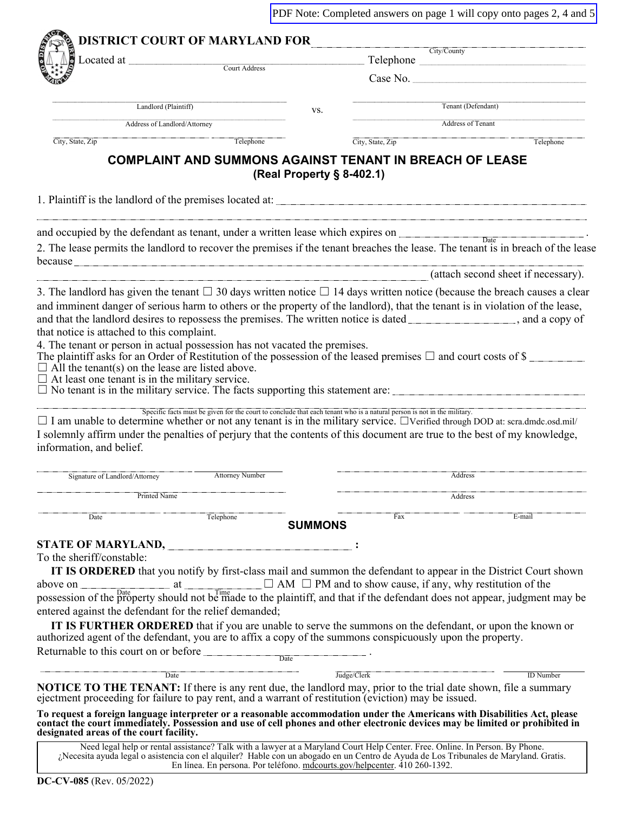|                                                                                                                                                                                                                                                                                                                                                                                                                                                                                                                                                                                                                                                                                                                       |                                                                                                                              |                           |                  |     | PDF Note: Completed answers on page 1 will copy onto pages 2, 4 and 5                                                                                                                                                                                                                                                                                                                                                                                                                                                        |
|-----------------------------------------------------------------------------------------------------------------------------------------------------------------------------------------------------------------------------------------------------------------------------------------------------------------------------------------------------------------------------------------------------------------------------------------------------------------------------------------------------------------------------------------------------------------------------------------------------------------------------------------------------------------------------------------------------------------------|------------------------------------------------------------------------------------------------------------------------------|---------------------------|------------------|-----|------------------------------------------------------------------------------------------------------------------------------------------------------------------------------------------------------------------------------------------------------------------------------------------------------------------------------------------------------------------------------------------------------------------------------------------------------------------------------------------------------------------------------|
|                                                                                                                                                                                                                                                                                                                                                                                                                                                                                                                                                                                                                                                                                                                       | <b>DISTRICT COURT OF MARYLAND FOR CIty/County</b>                                                                            |                           |                  |     |                                                                                                                                                                                                                                                                                                                                                                                                                                                                                                                              |
|                                                                                                                                                                                                                                                                                                                                                                                                                                                                                                                                                                                                                                                                                                                       | Located at <u>Court Address</u>                                                                                              |                           |                  |     | Telephone                                                                                                                                                                                                                                                                                                                                                                                                                                                                                                                    |
|                                                                                                                                                                                                                                                                                                                                                                                                                                                                                                                                                                                                                                                                                                                       |                                                                                                                              |                           |                  |     |                                                                                                                                                                                                                                                                                                                                                                                                                                                                                                                              |
|                                                                                                                                                                                                                                                                                                                                                                                                                                                                                                                                                                                                                                                                                                                       | Landlord (Plaintiff)                                                                                                         | VS.                       |                  |     | Tenant (Defendant)                                                                                                                                                                                                                                                                                                                                                                                                                                                                                                           |
|                                                                                                                                                                                                                                                                                                                                                                                                                                                                                                                                                                                                                                                                                                                       | Address of Landlord/Attorney                                                                                                 |                           |                  |     | Address of Tenant                                                                                                                                                                                                                                                                                                                                                                                                                                                                                                            |
| City, State, Zip                                                                                                                                                                                                                                                                                                                                                                                                                                                                                                                                                                                                                                                                                                      | Telephone                                                                                                                    |                           | City, State, Zip |     | Telephone                                                                                                                                                                                                                                                                                                                                                                                                                                                                                                                    |
|                                                                                                                                                                                                                                                                                                                                                                                                                                                                                                                                                                                                                                                                                                                       | <b>COMPLAINT AND SUMMONS AGAINST TENANT IN BREACH OF LEASE</b>                                                               | (Real Property § 8-402.1) |                  |     |                                                                                                                                                                                                                                                                                                                                                                                                                                                                                                                              |
|                                                                                                                                                                                                                                                                                                                                                                                                                                                                                                                                                                                                                                                                                                                       |                                                                                                                              |                           |                  |     |                                                                                                                                                                                                                                                                                                                                                                                                                                                                                                                              |
| and occupied by the defendant as tenant, under a written lease which expires on                                                                                                                                                                                                                                                                                                                                                                                                                                                                                                                                                                                                                                       |                                                                                                                              |                           |                  |     | $\boxed{\text{Date}}$                                                                                                                                                                                                                                                                                                                                                                                                                                                                                                        |
| because <u>the contract of the contract of the contract of the contract of the contract of the contract of the contract of the contract of the contract of the contract of the contract of the contract of the contract of the c</u>                                                                                                                                                                                                                                                                                                                                                                                                                                                                                  |                                                                                                                              |                           |                  |     | 2. The lease permits the landlord to recover the premises if the tenant breaches the lease. The tenant is in breach of the lease                                                                                                                                                                                                                                                                                                                                                                                             |
|                                                                                                                                                                                                                                                                                                                                                                                                                                                                                                                                                                                                                                                                                                                       |                                                                                                                              |                           |                  |     | (attach second sheet if necessary).                                                                                                                                                                                                                                                                                                                                                                                                                                                                                          |
| 4. The tenant or person in actual possession has not vacated the premises.<br>The plaintiff asks for an Order of Restitution of the possession of the leased premises $\Box$ and court costs of \$<br>$\Box$ All the tenant(s) on the lease are listed above.<br>$\Box$ At least one tenant is in the military service.<br>$\Box$ No tenant is in the military service. The facts supporting this statement are:<br>$\Box$ I am unable to determine whether or not any tenant is in the military service. $\Box$ Verified through DOD at: scra.dmdc.osd.mil/<br>I solemnly affirm under the penalties of perjury that the contents of this document are true to the best of my knowledge,<br>information, and belief. | Specific facts must be given for the court to conclude that each tenant who is a natural person is not in the military.      |                           |                  |     |                                                                                                                                                                                                                                                                                                                                                                                                                                                                                                                              |
| Signature of Landlord/Attorney                                                                                                                                                                                                                                                                                                                                                                                                                                                                                                                                                                                                                                                                                        | <b>Attorney Number</b>                                                                                                       |                           |                  |     | Address                                                                                                                                                                                                                                                                                                                                                                                                                                                                                                                      |
| Printed Name                                                                                                                                                                                                                                                                                                                                                                                                                                                                                                                                                                                                                                                                                                          |                                                                                                                              |                           |                  |     | Address                                                                                                                                                                                                                                                                                                                                                                                                                                                                                                                      |
|                                                                                                                                                                                                                                                                                                                                                                                                                                                                                                                                                                                                                                                                                                                       |                                                                                                                              |                           |                  |     |                                                                                                                                                                                                                                                                                                                                                                                                                                                                                                                              |
| Date                                                                                                                                                                                                                                                                                                                                                                                                                                                                                                                                                                                                                                                                                                                  | Telephone                                                                                                                    | <b>SUMMONS</b>            |                  | Fax | E-mail                                                                                                                                                                                                                                                                                                                                                                                                                                                                                                                       |
| <b>STATE OF MARYLAND, __</b><br>To the sheriff/constable:<br>entered against the defendant for the relief demanded;<br>authorized agent of the defendant, you are to affix a copy of the summons conspicuously upon the property.<br>Returnable to this court on or before                                                                                                                                                                                                                                                                                                                                                                                                                                            |                                                                                                                              | Date                      |                  |     | IT IS ORDERED that you notify by first-class mail and summon the defendant to appear in the District Court shown<br>$\Box$ AM $\Box$ PM and to show cause, if any, why restitution of the<br>above on $\Box$ at $\Box$ AM $\Box$ PM and to show cause, if any, why restitution of the possession of the property should not be made to the plaintiff, and that if the defendant does not appear, judgment may be<br>IT IS FURTHER ORDERED that if you are unable to serve the summons on the defendant, or upon the known or |
|                                                                                                                                                                                                                                                                                                                                                                                                                                                                                                                                                                                                                                                                                                                       | Date                                                                                                                         |                           | Judge/Clerk      |     | <b>ID</b> Number                                                                                                                                                                                                                                                                                                                                                                                                                                                                                                             |
| <b>NOTICE TO THE TENANT:</b> If there is any rent due, the landlord may, prior to the trial date shown, file a summary<br>ejectment proceeding for failure to pay rent, and a warrant of restitution (eviction) may be issued.                                                                                                                                                                                                                                                                                                                                                                                                                                                                                        |                                                                                                                              |                           |                  |     |                                                                                                                                                                                                                                                                                                                                                                                                                                                                                                                              |
| To request a foreign language interpreter or a reasonable accommodation under the Americans with Disabilities Act, please<br>contact the court immediately. Possession and use of cell phones and other electronic devices may be limited or prohibited in<br>designated areas of the court facility.                                                                                                                                                                                                                                                                                                                                                                                                                 |                                                                                                                              |                           |                  |     |                                                                                                                                                                                                                                                                                                                                                                                                                                                                                                                              |
| ¿Necesita ayuda legal o asistencia con el alquiler? Hable con un abogado en un Centro de Ayuda de Los Tribunales de Maryland. Gratis.                                                                                                                                                                                                                                                                                                                                                                                                                                                                                                                                                                                 | Need legal help or rental assistance? Talk with a lawyer at a Maryland Court Help Center. Free. Online. In Person. By Phone. |                           |                  |     |                                                                                                                                                                                                                                                                                                                                                                                                                                                                                                                              |

En línea. En persona. Por teléfono. mdcourts.gov/helpcenter. 410 260-1392.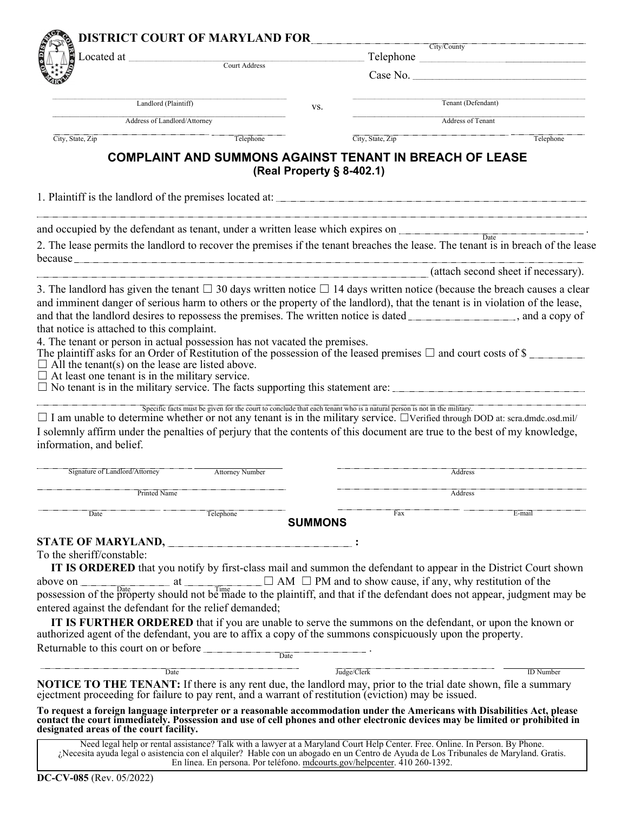|                                                                                                                                                                                                                                                                                                                                                                                                                                                                                                                                                                                                                                                                                                                                                                                                                                                                                                                                                                                                                                                                                                                                              | Located at             |                           | City/County                                                                                                             |                                     |  |
|----------------------------------------------------------------------------------------------------------------------------------------------------------------------------------------------------------------------------------------------------------------------------------------------------------------------------------------------------------------------------------------------------------------------------------------------------------------------------------------------------------------------------------------------------------------------------------------------------------------------------------------------------------------------------------------------------------------------------------------------------------------------------------------------------------------------------------------------------------------------------------------------------------------------------------------------------------------------------------------------------------------------------------------------------------------------------------------------------------------------------------------------|------------------------|---------------------------|-------------------------------------------------------------------------------------------------------------------------|-------------------------------------|--|
|                                                                                                                                                                                                                                                                                                                                                                                                                                                                                                                                                                                                                                                                                                                                                                                                                                                                                                                                                                                                                                                                                                                                              | Court Address          |                           | Case No.                                                                                                                |                                     |  |
| Landlord (Plaintiff)                                                                                                                                                                                                                                                                                                                                                                                                                                                                                                                                                                                                                                                                                                                                                                                                                                                                                                                                                                                                                                                                                                                         |                        |                           |                                                                                                                         | Tenant (Defendant)                  |  |
| Address of Landlord/Attorney                                                                                                                                                                                                                                                                                                                                                                                                                                                                                                                                                                                                                                                                                                                                                                                                                                                                                                                                                                                                                                                                                                                 |                        | VS.                       |                                                                                                                         | Address of Tenant                   |  |
| City, State, Zip                                                                                                                                                                                                                                                                                                                                                                                                                                                                                                                                                                                                                                                                                                                                                                                                                                                                                                                                                                                                                                                                                                                             | Telephone              |                           | City, State, Zip                                                                                                        | Telephone                           |  |
|                                                                                                                                                                                                                                                                                                                                                                                                                                                                                                                                                                                                                                                                                                                                                                                                                                                                                                                                                                                                                                                                                                                                              |                        | (Real Property § 8-402.1) | <b>COMPLAINT AND SUMMONS AGAINST TENANT IN BREACH OF LEASE</b>                                                          |                                     |  |
|                                                                                                                                                                                                                                                                                                                                                                                                                                                                                                                                                                                                                                                                                                                                                                                                                                                                                                                                                                                                                                                                                                                                              |                        |                           |                                                                                                                         |                                     |  |
| and occupied by the defendant as tenant, under a written lease which expires on                                                                                                                                                                                                                                                                                                                                                                                                                                                                                                                                                                                                                                                                                                                                                                                                                                                                                                                                                                                                                                                              |                        |                           |                                                                                                                         |                                     |  |
| 2. The lease permits the landlord to recover the premises if the tenant breaches the lease. The tenant is in breach of the lease<br>because <u>the contract of the contract of the contract of the contract of the contract of the contract of the contract of the contract of the contract of the contract of the contract of the contract of the contract of the c</u>                                                                                                                                                                                                                                                                                                                                                                                                                                                                                                                                                                                                                                                                                                                                                                     |                        |                           |                                                                                                                         |                                     |  |
|                                                                                                                                                                                                                                                                                                                                                                                                                                                                                                                                                                                                                                                                                                                                                                                                                                                                                                                                                                                                                                                                                                                                              |                        |                           |                                                                                                                         | (attach second sheet if necessary). |  |
| The plaintiff asks for an Order of Restitution of the possession of the leased premises $\Box$ and court costs of \$<br>$\Box$ All the tenant(s) on the lease are listed above.<br>$\Box$ At least one tenant is in the military service.                                                                                                                                                                                                                                                                                                                                                                                                                                                                                                                                                                                                                                                                                                                                                                                                                                                                                                    |                        |                           |                                                                                                                         |                                     |  |
|                                                                                                                                                                                                                                                                                                                                                                                                                                                                                                                                                                                                                                                                                                                                                                                                                                                                                                                                                                                                                                                                                                                                              |                        |                           | Specific facts must be given for the court to conclude that each tenant who is a natural person is not in the military. |                                     |  |
| Signature of Landlord/Attorney                                                                                                                                                                                                                                                                                                                                                                                                                                                                                                                                                                                                                                                                                                                                                                                                                                                                                                                                                                                                                                                                                                               | <b>Attorney Number</b> |                           |                                                                                                                         | Address                             |  |
| Printed Name                                                                                                                                                                                                                                                                                                                                                                                                                                                                                                                                                                                                                                                                                                                                                                                                                                                                                                                                                                                                                                                                                                                                 |                        |                           |                                                                                                                         | Address                             |  |
| Date                                                                                                                                                                                                                                                                                                                                                                                                                                                                                                                                                                                                                                                                                                                                                                                                                                                                                                                                                                                                                                                                                                                                         | Telephone              | <b>SUMMONS</b>            | Fax                                                                                                                     | E-mail                              |  |
|                                                                                                                                                                                                                                                                                                                                                                                                                                                                                                                                                                                                                                                                                                                                                                                                                                                                                                                                                                                                                                                                                                                                              |                        |                           |                                                                                                                         |                                     |  |
| IT IS ORDERED that you notify by first-class mail and summon the defendant to appear in the District Court shown                                                                                                                                                                                                                                                                                                                                                                                                                                                                                                                                                                                                                                                                                                                                                                                                                                                                                                                                                                                                                             |                        |                           |                                                                                                                         |                                     |  |
| <b>IT IS FURTHER ORDERED</b> that if you are unable to serve the summons on the defendant, or upon the known or                                                                                                                                                                                                                                                                                                                                                                                                                                                                                                                                                                                                                                                                                                                                                                                                                                                                                                                                                                                                                              |                        |                           |                                                                                                                         |                                     |  |
|                                                                                                                                                                                                                                                                                                                                                                                                                                                                                                                                                                                                                                                                                                                                                                                                                                                                                                                                                                                                                                                                                                                                              | Date                   |                           |                                                                                                                         |                                     |  |
| $\square$ No tenant is in the military service. The facts supporting this statement are:<br>$\Box$ I am unable to determine whether or not any tenant is in the military service. $\Box$ Verified through DOD at: scra.dmdc.osd.mil/<br>I solemnly affirm under the penalties of perjury that the contents of this document are true to the best of my knowledge,<br>information, and belief.<br><b>STATE OF MARYLAND, __</b><br>To the sheriff/constable:<br>above on $\Box$ at $\Box$ AM $\Box$ PM and to show cause, if any, why restitution of the possession of the property should not be made to the plaintiff, and that if the defendant does not appear, judgment may be<br>entered against the defendant for the relief demanded;<br>authorized agent of the defendant, you are to affix a copy of the summons conspicuously upon the property.<br>Returnable to this court on or before<br>Date<br><b>NOTICE TO THE TENANT:</b> If there is any rent due, the landlord may, prior to the trial date shown, file a summary<br>ejectment proceeding for failure to pay rent, and a warrant of restitution (eviction) may be issued. |                        |                           | Judge/Clerk                                                                                                             | <b>ID</b> Number                    |  |

En línea. En persona. Por teléfono. mdcourts.gov/helpcenter. 410 260-1392.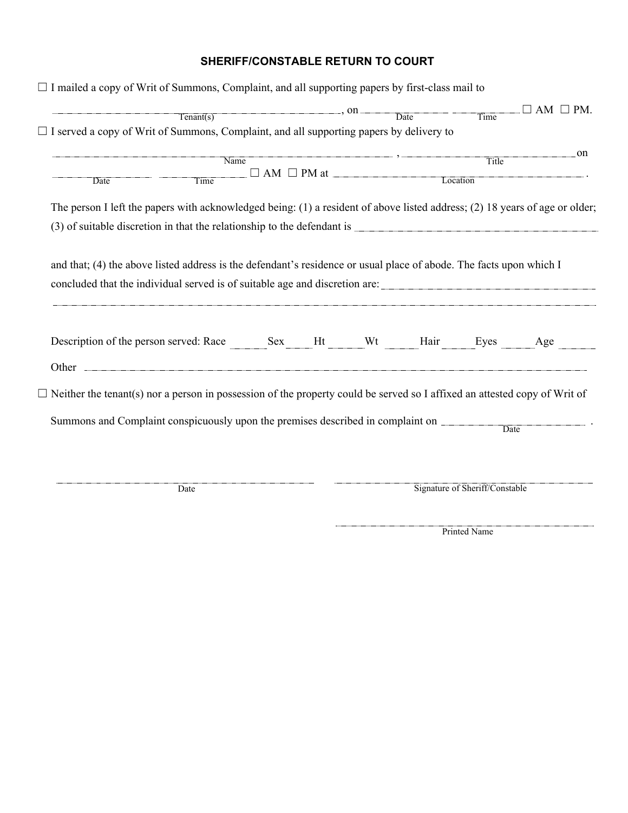## **SHERIFF/CONSTABLE RETURN TO COURT**

| $\Box$ I mailed a copy of Writ of Summons, Complaint, and all supporting papers by first-class mail to                                                                                                                      |                                                                                                                                                                                                                                                                                                                                                                                                                                                                     |  |                               |          |                      |    |
|-----------------------------------------------------------------------------------------------------------------------------------------------------------------------------------------------------------------------------|---------------------------------------------------------------------------------------------------------------------------------------------------------------------------------------------------------------------------------------------------------------------------------------------------------------------------------------------------------------------------------------------------------------------------------------------------------------------|--|-------------------------------|----------|----------------------|----|
|                                                                                                                                                                                                                             | $T$ enant(s) $\overline{\phantom{a}}$ $\overline{\phantom{a}}$ $\overline{\phantom{a}}$ $\overline{\phantom{a}}$ $\overline{\phantom{a}}$ $\overline{\phantom{a}}$ $\overline{\phantom{a}}$ $\overline{\phantom{a}}$ $\overline{\phantom{a}}$ $\overline{\phantom{a}}$ $\overline{\phantom{a}}$ $\overline{\phantom{a}}$ $\overline{\phantom{a}}$ $\overline{\phantom{a}}$ $\overline{\phantom{a}}$ $\overline{\phantom{a}}$ $\overline{\phantom{a}}$ $\overline{\$ |  |                               | Time     | $\Box$ AM $\Box$ PM. |    |
| $\Box$ I served a copy of Writ of Summons, Complaint, and all supporting papers by delivery to                                                                                                                              |                                                                                                                                                                                                                                                                                                                                                                                                                                                                     |  |                               |          |                      |    |
|                                                                                                                                                                                                                             |                                                                                                                                                                                                                                                                                                                                                                                                                                                                     |  |                               |          |                      | on |
|                                                                                                                                                                                                                             | Name                                                                                                                                                                                                                                                                                                                                                                                                                                                                |  | $\Box$ AM $\Box$ PM at $\Box$ | Title    |                      |    |
| Date                                                                                                                                                                                                                        | Time                                                                                                                                                                                                                                                                                                                                                                                                                                                                |  |                               | Location |                      |    |
| The person I left the papers with acknowledged being: (1) a resident of above listed address; (2) 18 years of age or older;                                                                                                 |                                                                                                                                                                                                                                                                                                                                                                                                                                                                     |  |                               |          |                      |    |
|                                                                                                                                                                                                                             |                                                                                                                                                                                                                                                                                                                                                                                                                                                                     |  |                               |          |                      |    |
|                                                                                                                                                                                                                             |                                                                                                                                                                                                                                                                                                                                                                                                                                                                     |  |                               |          |                      |    |
|                                                                                                                                                                                                                             |                                                                                                                                                                                                                                                                                                                                                                                                                                                                     |  |                               |          |                      |    |
| concluded that the individual served is of suitable age and discretion are:                                                                                                                                                 |                                                                                                                                                                                                                                                                                                                                                                                                                                                                     |  |                               |          |                      |    |
|                                                                                                                                                                                                                             |                                                                                                                                                                                                                                                                                                                                                                                                                                                                     |  |                               |          |                      |    |
| and that; (4) the above listed address is the defendant's residence or usual place of abode. The facts upon which I<br>Description of the person served: Race Sex Ht Wt Hair Eyes Age                                       |                                                                                                                                                                                                                                                                                                                                                                                                                                                                     |  |                               |          |                      |    |
|                                                                                                                                                                                                                             |                                                                                                                                                                                                                                                                                                                                                                                                                                                                     |  |                               |          |                      |    |
|                                                                                                                                                                                                                             |                                                                                                                                                                                                                                                                                                                                                                                                                                                                     |  |                               |          |                      |    |
|                                                                                                                                                                                                                             |                                                                                                                                                                                                                                                                                                                                                                                                                                                                     |  |                               | Date     |                      |    |
| $\Box$ Neither the tenant(s) nor a person in possession of the property could be served so I affixed an attested copy of Writ of<br>Summons and Complaint conspicuously upon the premises described in complaint on _______ |                                                                                                                                                                                                                                                                                                                                                                                                                                                                     |  |                               |          |                      |    |

Printed Name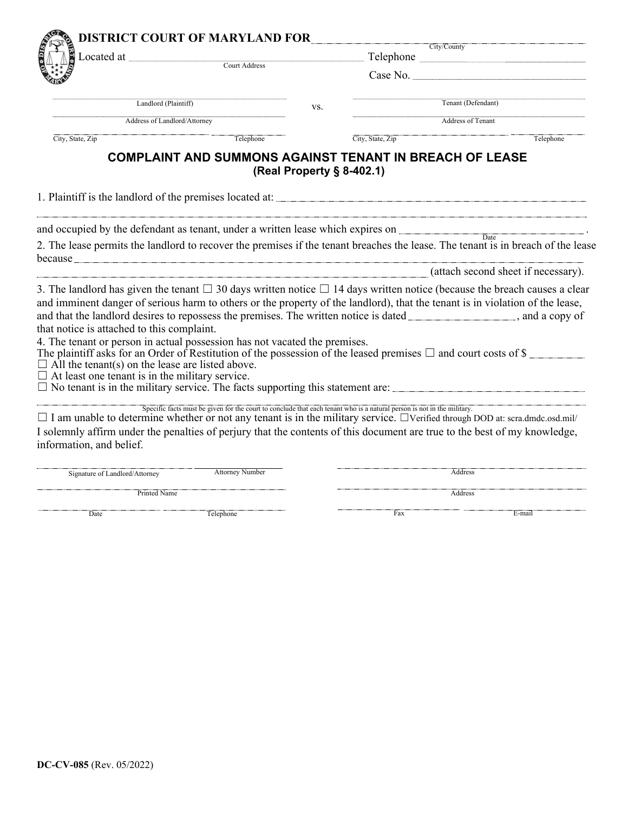| Located at                                                                                                                                                                                                                          |                                                                                                                         | <b>DISTRICT COURT OF MARYLAND FOR</b><br>City/County |                                         |                                                                                                                                                                                                                                                                      |  |  |
|-------------------------------------------------------------------------------------------------------------------------------------------------------------------------------------------------------------------------------------|-------------------------------------------------------------------------------------------------------------------------|------------------------------------------------------|-----------------------------------------|----------------------------------------------------------------------------------------------------------------------------------------------------------------------------------------------------------------------------------------------------------------------|--|--|
|                                                                                                                                                                                                                                     | Court Address                                                                                                           |                                                      |                                         |                                                                                                                                                                                                                                                                      |  |  |
|                                                                                                                                                                                                                                     |                                                                                                                         |                                                      |                                         | Case No.                                                                                                                                                                                                                                                             |  |  |
| Landlord (Plaintiff)<br>Address of Landlord/Attorney                                                                                                                                                                                |                                                                                                                         | VS.                                                  | Tenant (Defendant)<br>Address of Tenant |                                                                                                                                                                                                                                                                      |  |  |
|                                                                                                                                                                                                                                     |                                                                                                                         |                                                      |                                         |                                                                                                                                                                                                                                                                      |  |  |
| City, State, Zip                                                                                                                                                                                                                    | Telephone                                                                                                               |                                                      | City, State, Zip                        | Telephone                                                                                                                                                                                                                                                            |  |  |
|                                                                                                                                                                                                                                     | <b>COMPLAINT AND SUMMONS AGAINST TENANT IN BREACH OF LEASE</b>                                                          |                                                      | (Real Property § 8-402.1)               |                                                                                                                                                                                                                                                                      |  |  |
|                                                                                                                                                                                                                                     |                                                                                                                         |                                                      |                                         |                                                                                                                                                                                                                                                                      |  |  |
| and occupied by the defendant as tenant, under a written lease which expires on                                                                                                                                                     |                                                                                                                         |                                                      |                                         |                                                                                                                                                                                                                                                                      |  |  |
| because <u>the cause</u> and the cause of the cause of the cause of the cause of the cause of the cause of the cause of the cause of the cause of the cause of the cause of the cause of the cause of the cause of the cause of the |                                                                                                                         |                                                      |                                         | Date<br>2. The lease permits the landlord to recover the premises if the tenant breaches the lease. The tenant is in breach of the lease                                                                                                                             |  |  |
|                                                                                                                                                                                                                                     |                                                                                                                         |                                                      |                                         | (attach second sheet if necessary).                                                                                                                                                                                                                                  |  |  |
|                                                                                                                                                                                                                                     |                                                                                                                         |                                                      |                                         | 3. The landlord has given the tenant $\Box$ 30 days written notice $\Box$ 14 days written notice (because the breach causes a clear<br>and imminent danger of serious harm to others or the property of the landlord), that the tenant is in violation of the lease, |  |  |
| that notice is attached to this complaint.                                                                                                                                                                                          |                                                                                                                         |                                                      |                                         | and that the landlord desires to repossess the premises. The written notice is dated ____________________, and a copy of                                                                                                                                             |  |  |
| 4. The tenant or person in actual possession has not vacated the premises.                                                                                                                                                          |                                                                                                                         |                                                      |                                         |                                                                                                                                                                                                                                                                      |  |  |
| $\Box$ All the tenant(s) on the lease are listed above.                                                                                                                                                                             |                                                                                                                         |                                                      |                                         | The plaintiff asks for an Order of Restitution of the possession of the leased premises $\Box$ and court costs of \$                                                                                                                                                 |  |  |
| $\Box$ At least one tenant is in the military service.                                                                                                                                                                              |                                                                                                                         |                                                      |                                         |                                                                                                                                                                                                                                                                      |  |  |
|                                                                                                                                                                                                                                     |                                                                                                                         |                                                      |                                         | $\square$ No tenant is in the military service. The facts supporting this statement are:                                                                                                                                                                             |  |  |
|                                                                                                                                                                                                                                     | Specific facts must be given for the court to conclude that each tenant who is a natural person is not in the military. |                                                      |                                         | $\Box$ I am unable to determine whether or not any tenant is in the military service. $\Box$ Verified through DOD at: scra.dmdc.osd.mil/                                                                                                                             |  |  |
| information, and belief.                                                                                                                                                                                                            |                                                                                                                         |                                                      |                                         | I solemnly affirm under the penalties of perjury that the contents of this document are true to the best of my knowledge,                                                                                                                                            |  |  |
| Signature of Landlord/Attorney                                                                                                                                                                                                      | <b>Attorney Number</b>                                                                                                  |                                                      |                                         | Address                                                                                                                                                                                                                                                              |  |  |
| Printed Name                                                                                                                                                                                                                        |                                                                                                                         |                                                      |                                         | Address                                                                                                                                                                                                                                                              |  |  |
| Date                                                                                                                                                                                                                                | Telephone                                                                                                               |                                                      | Fax                                     | E-mail                                                                                                                                                                                                                                                               |  |  |